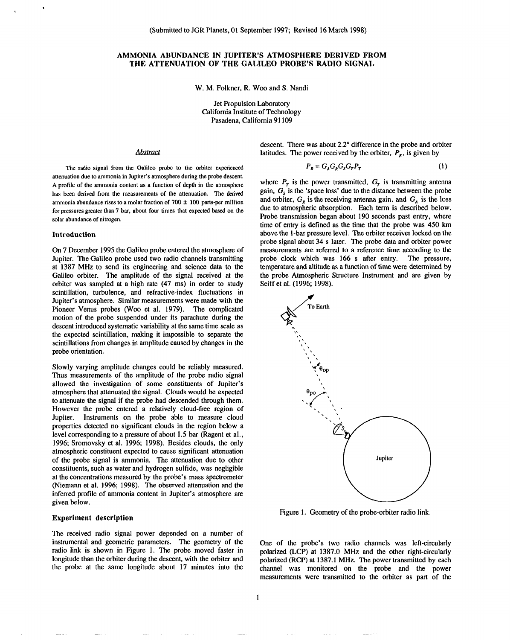# **AMMONIA ABUNDANCE IN JUPITER'S ATMOSPHERE DERIVED FROM THE ATTENUATION OF THE GALILEO PROBE'S RADIO SIGNAL**

W. M. Folkner, R. Woo and S. Nandi

Jet Propulsion Laboratory California Institute of Technology Pasadena, California 91109

# Abstract

The radio signal from the Galileo probe to the orbiter experienced attenuation due to ammonia in Jupiter's atmosphere during the probe descent. A profile of the ammonia content as a function of depth in the atmosphere has been derived from the measurements of the attenuation. The derived ammonia abundance rises to a molar fraction of  $700 \pm 100$  parts-per million for pressures greater than 7 bar, about four times that expected based on the solar abundance of nitrogen.

### **Introduction**

,

On **7** December 1995 the Galileo probe entered the atmosphere of Jupiter. The Galileo probe used two radio channels transmitting at 1387 MHz to send its engineering and science data to the Galileo orbiter. The amplitude of the signal received at the orbiter was sampled at a high rate (47 ms) in order to study scintillation, turbulence, and refractive-index fluctuations in Jupiter's atmosphere. Similar measurements were made with the Pioneer Venus probes (Woo et al. 1979). The complicated motion of the probe suspended under its parachute during the descent introduced systematic variability at the same time scale as the expected scintillation, making it impossible to separate the scintillations from changes in amplitude caused by changes in the probe orientation.

Slowly varying amplitude changes could be reliably measured. Thus measurements of the amplitude of the probe radio signal allowed the investigation of some constituents of Jupiter's atmosphere that attenuated the signal. Clouds would be expected to attenuate the signal if the probe had descended through them. However the probe entered a relatively cloud-free region of Jupiter. Instruments on the probe able to measure cloud properties detected no significant clouds in the region below a level corresponding to a pressure of about 1.5 bar (Ragent et al., 1996; Sromovsky et al. 1996; 1998). Besides clouds, the only atmospheric constituent expected to cause significant attenuation of the probe signal is ammonia. The attenuation due to other constituents, such as water and hydrogen sulfide, was negligible at the concentrations measured by the probe's mass spectrometer (Niemann et al. 1996; 1998). The observed attenuation and the inferred profile of ammonia content in Jupiter's atmosphere are **given below.**

### **Experiment description**

**The** received radio signal power depended on a number of instrumental and geometric parameters. The geometry of the radio link is shown in Figure 1. The probe moved faster in longitude than the orbiter during the descent, with the orbiter and the probe at the same longitude about 17 minutes into the

descent. There was about 2.2° difference in the probe and orbiter latitudes. The power received by the orbiter,  $P_R$ , is given by

$$
P_R = G_A G_R G_S G_T P_T \tag{1}
$$

where  $P_T$  is the power transmitted,  $G_T$  is transmitting antenna gain,  $G_s$  is the 'space loss' due to the distance between the probe and orbiter,  $G_{\kappa}$  is the receiving antenna gain, and  $G_{\lambda}$  is the loss due to atmospheric absorption. Each term is described below. Probe transmission began about 190 seconds past entry, where time of entry is defined as the time that the probe was 450 km above the 1-bar pressure level. The orbiter receiver locked on the probe signal about 34 s later. The probe data and orbiter power measurements are referred to a reference time according to the probe clock which was 166 s after entry. The pressure, temperature and altitude as a function of time were determined by the probe Atmospheric Structure Instrument and are given by Seiff et al. (1996; 1998).



Figure 1. Geometry of the probe-orbiter radio link,

One of the probe's two radio channels was left-circularly polarized (LCP) at 1387.0 MHz and the other right-circularly polarized (RCP) at 1387.1 MHz. The power transmitted by each channel was monitored on the probe and the power measurements were transmitted to the orbiter as part of the

1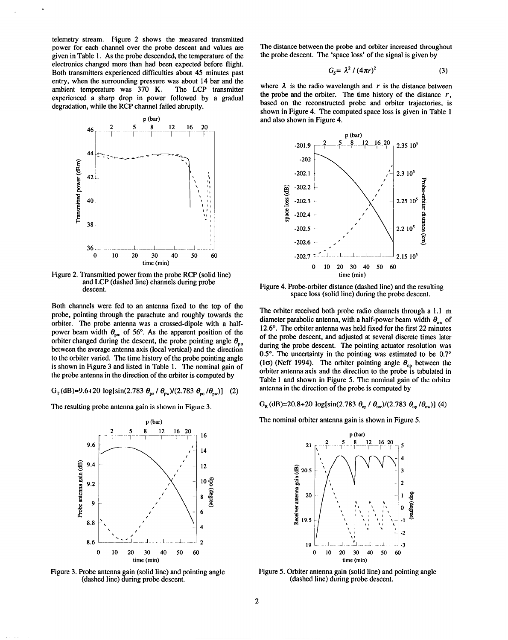telemetry stream. Figure 2 shows the measured transmitted power for each channel over the probe descent and values are given in Table 1. As the probe descended, the temperature of the electronics changed more than had been expected before flight. Both transmitters experienced difficulties about 45 minutes past entry, when the surrounding pressure was about 14 bar and the ambient temperature was 370 K. The LCP transmitter experienced a sharp drop in power followed by a gradual degradation, while the RCP channel failed abruptly.



Figure 2. Transmitted power from the probe RCP (solid line) and LCP (dashed line) channels during probe descent.

Both channels were fed to an antenna fixed to the top of the probe, pointing through the parachute and roughly towards the orbiter. The probe antenna was a crossed-dipole with a halfpower beam width  $\theta_{\text{pw}}$  of 56°. As the apparent position of the orbiter changed during the descent, the probe pointing angle  $\theta_{po}$ between the average antenna axis (local vertical) and the direction to the orbiter varied. The time history of the probe pointing angle is shown in Figure 3 and listed in Table 1. The nominal gain of the probe antenna in the direction of the orbiter is computed by

$$
G_{\rm T}(\text{dB}) = 9.6 + 20 \, \log[\sin(2.783 \, \theta_{\rm m} / \theta_{\rm nw})/(2.783 \, \theta_{\rm m} / \theta_{\rm nw})] \tag{2}
$$

The resulting probe antenna gain is shown in Figure 3.



Figure 3. Probe antenna gain (solid line) and pointing angle (dashed line) during probe descent.

The distance between the probe and orbiter increased throughout the probe descent. The 'space loss' of the signal is given by

$$
G_{s} = \lambda^{2} / (4\pi r)^{2}
$$
 (3)

where  $\lambda$  is the radio wavelength and r is the distance between the probe and the orbiter. The time history of the distance  $r$ , based on the reconstructed probe and orbiter trajectories, is shown in Figure 4. The computed space loss is given in Table 1 and also shown in Figure 4.



Figure 4. Probe-orbiter distance (dashed line) and the resulting space loss (solid line) during the probe descent.

The orbiter received both probe radio channels through a 1.1 m diameter parabolic antenna, with a half-power beam width  $\theta_{0w}$  of 12.6°. The orbiter antenna was held fixed for the first 22 minutes of the probe descent, and adjusted at several discrete times later during the probe descent. The pointing actuator resolution was 0.5°. The uncertainty in the pointing was estimated to be 0.7° (10) (Neff 1994). The orbiter pointing angle  $\theta_{op}$  between the orbiter antenna axis and the direction to the probe is tabulated in Table 1 and shown in Figure 5. The nominal gain of the orbiter antenna in the direction of the probe is computed by

 $G_R$ (dB)=20.8+20 log[sin(2.783  $\theta_{0p}$  /  $\theta_{0w}$ )/(2.783  $\theta_{0p}$  / $\theta_{0w}$ )](4)

The nominal orbiter antenna gain is shown in Figure 5.



Figure 5. Orbiter antenna gain (solid line) and pointing angle (dashed line) during probe descent.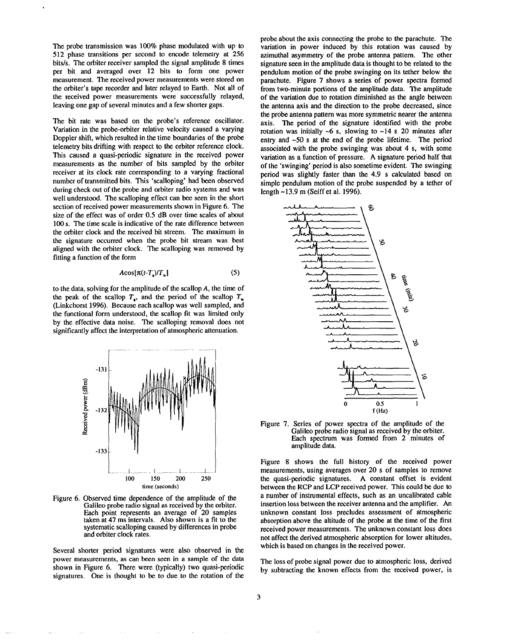The probe transmission was 100% phase modulated with up to 512 phase transitions per second to encode telemetry at 256 bits/s. The orbiter receiver sampled the signal amplitude 8 times per bit and averaged over 12 bits to form one power measurement. The received power measurements were stored on the orbiter's tape recorder and later relayed to Earth. Not all of the received power measurements were successfully relayed, leaving one gap of several minutes and a few shorter gaps.

The bit rate was based on the probe's reference oscillator. Variation in the probe-orbiter relative velocity caused a varying Doppler shift, which resulted in the time boundaries of the probe telemetry bits drifting with respect to the orbiter reference clock. This caused a quasi-periodic signature in the received power measurements as the number of bits sampled by the orbiter receiver at its clock rate corresponding to a varying fractional number of transmitted bits. This 'scalloping' had been observed during check out of the probe and orbiter radio systems and was well understood. The scalloping effect can bee seen in the short section of received power measurements shown in Figure 6. The size of the effect was of order 0.5 dB over time scales of about 100s. The time scale is indicative of the rate difference between the orbiter clock and the received bit streem. The maximum in the signature occurred when the probe bit stream was best aligned with the orbiter clock. The scalloping was removed by fitting a function of the form

$$
A\cos[\pi(t-T_{\rm a})/T_{\rm w}]\tag{5}
$$

to the data, solving for the amplitude of the scallop *A,* the time of the peak of the scallop  $T<sub>s</sub>$ , and the period of the scallop  $T<sub>w</sub>$ (Linkchorst 1996). Because each scallop was well sampled, and the functional form understood, the scallop fit was limited only by the effective data noise. The scalloping removal does not significantly affect the interpretation of atmospheric attenuation.



Figure 6. Observed time dependence of the amplitude of the Galileo probe radio signal as received by the orbiter. Each point represents an average of 20 samples taken at 47 ms intervals. Also shown is a fit to the systematic scalloping caused by differences in probe and orbiter clock rates.

Several shorter period signatures were also observed in the power measurements, as can been seen in a sample of the data shown in Figure 6. There were (typically) two quasi-periodic signatures. One is thought to be to due to the rotation of the

probe about the axis connecting the probe to the parachute. The variation in power induced by this rotation was caused by azimuthal asymmetry of the probe antenna pattern. The other signature seen in the amplitude data is thought to be related to the pendulum motion of the probe swinging on its tether below the parachute. Figure 7 shows a series of power spectra formed from two-minute portions of the amplitude data. The amplitude of the variation due to rotation diminished as the angle between the antenna axis and the direction to the probe decreased, since the probe antenna pattern was more symmetric nearer the antenna axis. The period of the signature identified with the probe rotation was initially  $\sim$ 6 s, slowing to  $\sim$ 14 s 20 minutes after entry and  $\sim 50$  s at the end of the probe lifetime. The period associated with the probe swinging was about 4 s, with some variation as a function of pressure. A signature period half that of the 'swinging' period is also sometime evident. The swinging period was slightly faster than the 4.9 s calculated based on simple pendulum motion of the probe suspended by a tether of length -13.9 m (Seiff et al. 1996).



Figure 7. Series of power spectra of the amplitude of the Galileo probe radio signal as received by the orbiter. Each spectrum was formed from 2 minutes of amplitude data.

Figure 8 shows the full history of the received power measurements, using averages over 20 s of samples to remove the quasi-periodic signatures. A constant offset is evident between the RCP and LCP received power. This could be due to a number of instrumental effects, such as an uncalibrated cable insertion loss between the receiver antenna and the amplifier. An unknown constant loss precludes assessment of atmospheric absorption above the altitude of the probe at the time of the first received power measurements. The unknown constant loss does not affect the derived atmospheric absorption for lower altitudes, which is based on changes in the received power.

The loss of probe signal power due to atmospheric loss, derived by subtracting the known effects from the received power, is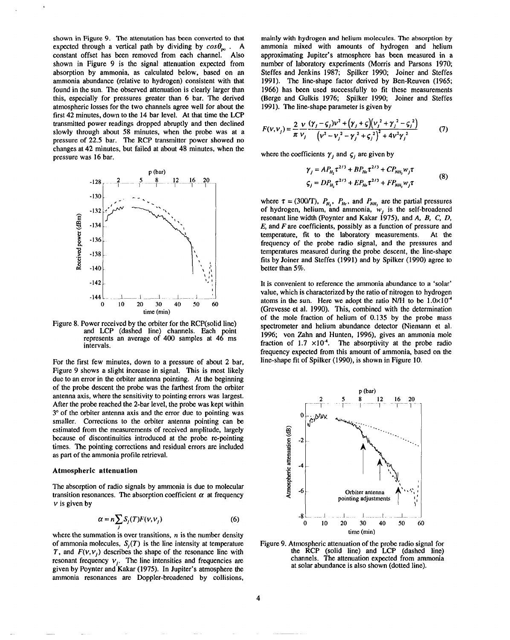shown in Figure 9. The attenutation has been converted to that expected through a vertical path by dividing by  $cos\theta_{\text{no}}$ . A constant offset has been removed from each channel. Also shown in Figure 9 is the signal attenuation expected from absorption by ammonia, as calculated below, based on an ammonia abundance (relative to hydrogen) consistent with that found in the sun. The observed attenuation is clearly larger than this, especially for pressures greater than 6 bar. The derived atmospheric losses for the two channels agree well for about the first 42 minutes, down to the 14 bar level. At that time the LCP transmitted power readings dropped abruptly and then declined slowly through about 58 minutes, when the probe was at a pressure of 22.5 bar. The RCP transmitter power showed no changes at 42 minutes, but failed at about 48 minutes, when the pressure was 16 bar.



Figure 8. Power received by the orbiter for the RCP(solid line) and LCP (dashed line) channels. Each point represents an average of 400 samples at 46 ms intervals.

For the first few minutes, down to a pressure of about 2 bar, Figure 9 shows a slight increase in signal. This is most likely due to an error in the orbiter antenna pointing. At the beginning of the probe deseent the probe was the farthest from the orbher antenna axis, where the sensitivity to pointing errors was largest. After the probe reached the 2-bar level, the probe was kept within 3° of the orbiter antenna axis and the error due to pointing was smaller. Corrections to the orbiter antenna pointing can be estimated from the measurements of received amplitude, largely because of discontinuities introduced at the probe re-pointing times. The pointing corrections and residual errors are included as part of the ammonia profile retrieval.

#### **Atmospheric attenuation**

The absorption of radio signals by ammonia is due to molecular transition resonances. The absorption coefficient  $\alpha$  at frequency  $v$  is given by

$$
\alpha = n \sum_{j} S_j(T) F(\nu, \nu_j) \tag{6}
$$

where the summation is over transitions,  $n$  is the number density of ammonia molecules,  $S<sub>i</sub>(T)$  is the line intensity at temperature T, and  $F(V,V_i)$  describes the shape of the resonance line with resonant frequency  $v_i$ . The line intensities and frequencies are given by Poynter and Kakar (i975). In Jupiter's atmosphere the ammonia resonances are Doppler-broadened by collisions,

mainly with hydrogen and helium **molecules. The absorption by** ammonia mixed with amounts of hydrogen and helium approximating Jupiter's atmosphere has been measured in a number of laboratory experiments (Morris and Parsons 1970; Steffes and Jenkins 1987; Spilker 1990; Joiner and Steffes 1991). The line-shape factor derived by Ben-Reuven (1965; 1966) has been used successfully to fit these measurements (Berge and Gulkis 1976; Spilker 1990; Joiner and Steffes 1991). The line-shape parameter is given by

$$
F(v, v_j) = \frac{2}{\pi} \frac{v}{v_j} \frac{(\gamma_j - \zeta_j)v^2 + (\gamma_j + \zeta)(v_j^2 + \gamma_j^2 - \zeta_j^2)}{(\nu^2 - v_j^2 - \gamma_j^2 + \zeta_j^2)^2 + 4v^2 \gamma_j^2}
$$
(7)

where the coefficients  $\gamma_i$  and  $\zeta_i$  are given by

$$
\gamma_j = AP_{H_1} \tau^{2/3} + BP_{He} \tau^{2/3} + CP_{NH_3} w_j \tau
$$
  
\n
$$
\zeta_j = DP_{H_1} \tau^{2/3} + EP_{He} \tau^{2/3} + FP_{NH_3} w_j \tau
$$
 (8)

where  $\tau = (300/T)$ ,  $P_{H_1}$ ,  $P_{He}$ , and  $P_{NH_1}$  are the partial pressures of hydrogen, helium, and ammonia,  $w_i$  is the self-broadened resonant line width (Poynter and Kakar 1975), and *A, B, C, D, E,* and *F* are coefficients, possibly as a function of pressure and temperature, tit to the laboratory measurements. At the frequency of the probe radio signal, and the pressures and temperatures measured during the probe descent, the line-shape fits by Joiner and Steffes (1991) and by Spilker (1990) agree to better than 5%.

It is convenient to reference the ammonia abundance to a 'solar' value, which is characterized by the ratio of nitrogen to hydrogen atoms in the sun. Here we adopt the ratio N/H to be  $1.0 \times 10^{-4}$ (Grevesse et ai. 1990). This, combined with the determination of the mole fraction of helium of 0.135 by the probe mass spectrometer and helium abundance detector (Niemann et al. 1996; von Zahn and Hunten, 1996), gives an ammonia mole fraction of 1.7  $\times$ 10<sup>-4</sup>. The absorptivity at the probe radio frequency expected from this amount of ammonia, based on the line-shape fit of Spilker (1990), is shown in Figure 10.



Figure 9. Atmospheric attenuation of the probe radio signal for the RCP (solid line) and LCP (dashed line) channels. The attenuation expected from ammonia at solar abundance is also shown (dotted line).

*4*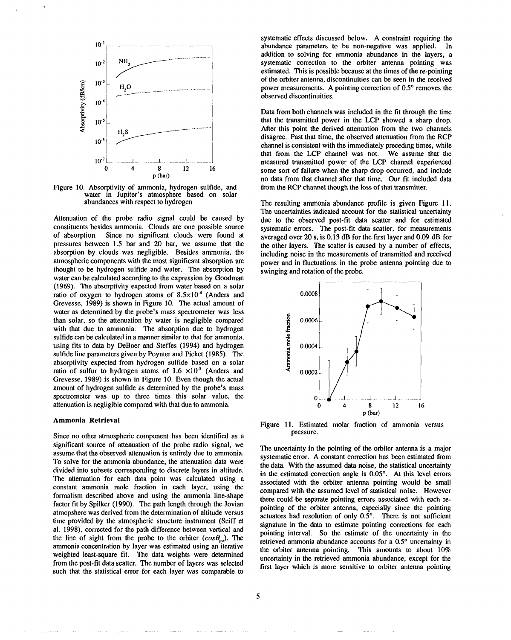

Figure 10. Absorptivity of ammonia, hydrogen sulfide, and water in Jupiter's atmosphere based on solar abundances with respect to hydrogen

Attenuation of the probe radio signal could be caused by constituents besides ammonia. Clouds are one possible source of absorption. Since no significant clouds were found at pressures between 1.5 bar and 20 bar, we assume that the absorption by clouds was negligible. Besides ammonia, the atmospheric components with the most significant absorption are thought to be hydrogen sulfide and water. The absorption by water can be calculated according to the expression by Goodman (1969). The absorptivity expected from water based on a solar ratio of oxygen to hydrogen atoms of  $8.5 \times 10^{-4}$  (Anders and Grevesse, 1989) is shown in Figure 10. The actual amount of water as determined by the probe's mass spectrometer was less than solar, so the attenuation by water is negligible compared with that due to ammonia. The absorption due to hydrogen sulfide can be calculated in a manner similar to that for ammonia, using fits to data by DeBoer and Steffes (1994) and hydrogen sulfide line parameters given by Poynter and Picket (1985). The absorptivity expected from hydrogen sulfide based on a solar ratio of sulfur to hydrogen atoms of  $1.6 \times 10^{-5}$  (Anders and Grevesse, 1989) is shown in Figure 10. Even though the actual amount of hydrogen sulfide as determined by the probe's mass spectrometer was up to three times this solar value, the attenuation is negligible compared with that due to ammonia.

### **Ammonia Retrieval**

Since no other atmospheric component has been identified as a significant source of attenuation of the probe radio signal, we assume that the observed attenuation is entirely due to ammonia. To solve for the ammonia abundance, the attenuation data were divided into subsets corresponding to discrete layers in altitude. The attenuation for each data point was calculated using a constant ammonia mole fraction in each layer, using the formalism described above and using the ammonia line-shape factor fit by Spilker (1990). The path length through the Jovian atmopshere was derived from the determination of altitude versus time provided by the atmospheric structure instrument (Seiff et al. 1998), corrected for the path difference between vertical and the line of sight from the probe to the orbiter  $(cos \theta_{\text{no}})$ . The ammonia concentration by layer was estimated using an iterative weighted least-square fit. The data weights were determined from the post-fit data scatter, The number of layers was selected such that the statistical error for each layer was comparable to

systematic effects discussed below. A constraint requiring the abundance parameters to be non-negative was applied. In addition to solving for ammonia abundance in the layers, a systematic correction to the orbiter antenna pointing was estimated. This is possible because at the times of the re-pointing of the orbiter antenna, discontinuities can be seen in the received power measurements. A pointing correction of 0.5° removes the observed discontinuities.

Data from both channels was included in the fit through the time that the transmitted power in the LCP showed a sharp drop. After this point the derived attenuation from the two channels disagree. Past that time, the observed attenuation from the RCP channel is consistent with the immediately preceding times, while that from the LCP channel was not. We assume that the measured transmitted power of the LCP channel experienced some sort of failure when the sharp drop occurred, and include no data from that channel after that time. Our fit included data from the RCP channel though the loss of that transmitter.

The resulting ammonia abundance profile is given Figure 11. The uncertainties indicated account for the statistical uncertainty due to the observed post-fit data scatter and for estimated systematic errors. The post-fit data scatter, for measurements averaged over 20s, is 0.13 dB for the first layer and 0.09 dB for the other layers. The scatter is caused by a number of effects, including noise in the measurements of transmitted and received power and in fluctuations in the probe antenna pointing due to swinging and rotation of the probe.



Figure 11. Estimated molar fraction of ammonia versus pressure.

The uncertainty in the pointing of the orbiter antenna is a major systematic error. A constant correction has been estimated from the data. With the assumed data noise, the statistical uncertainty in the estimated correction angle is  $0.05^\circ$ . At this level errors associated with the orbiter antenna pointing would be small compared with the assumed level of statistical noise. However there could be separate pointing errors associated with each repainting of the orbiter antenna, especially since the pointing actuators had resolution of only 0.5°. There is not sufficient signature in the data to estimate pointing corrections for each pointing interval. So the estimate of the uncertainty in the retrieved ammonia abundance accounts for a 0.5° uncertainty in the orbiter antenna pointing. This amounts to about 10% uncertainty in the retrieved ammonia abundance, except for the first layer which is more sensitive to orbiter antenna pointing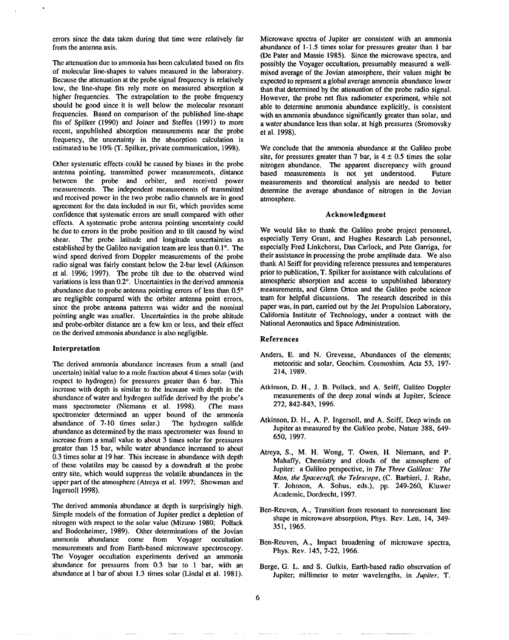errors since the data taken during that time were relatively far from the antenna axis.

The attenuation due to ammonia has been calculated based on fits of molecular line-shapes to values measured in the laboratory. Because the attenuation at the probe signal frequency is relatively low, the line-shape fits rely more on measured absorption at higher frequencies. The extrapolation to the probe frequency should be good since it is well below the molecular resonant frequencies. Based on comparison of the published line-shape fits of Spilker (1990) and Joiner and Steffes (1991) to more recent, unpublished absorption measurements near the probe frequency, the uncertainty in the absorption calculation is estimated to be 10% (T. Spilker, private communication, 1998).

Other systematic effects could be caused by biases in the probe antenna pointing, transmitted power measurements, distance between the probe and orbiter, and received power measurements. The independent measurements of transmitted and received power in the two probe radio channels are in good agreement for the data included in our fit, which provides some confidence that systematic errors are small compared with other effects. A systematic probe antenna pointing uncertainty could be due to errors in the probe position and to tilt caused by wind shear. The probe latitude and longitude uncertainties as The probe latitude and longitude uncertainties as established by the Galileo navigation team are less than  $0.1^\circ$ . The wind speed derived from Doppler measurements of the probe radio signal was fairly constant below the 2-bar level (Atkinson et al. 1996; 1997). The probe tilt due to the observed wind variations is less than 0.2°, Uncertainties in the derived ammonia abundance due to probe antenna pointing errors of less than 0.5° are negligible compared with the orbiter antenna point errors, since the probe antenna patterns was wider and the nominal pointing angle was smaller. Uncertainties in the probe altitude and probe-orbiter distance are a few km or less, and their effect on the derived ammonia abundance is also negligible.

### **Interpretation**

The derived ammonia abundance increases from a small (and uncertain) initial value to a mole fraction about 4 times solar (with respect to hydrogen) for pressures greater than 6 bar. This increase with depth is similar to the increase with depth in the abundance of water and hydrogen sulfide derived by the probe's mass spectrometer (Niemann et al. 1998). (The mass spectrometer determined an upper bound of the ammonia abundance of 7-10 times solar.) The hydrogen sulfide abundance as determined by the mass spectrometer was found to increase from a small value to about 3 times solar for pressures greater than 15 bar, while water abundance increased to about 0.3 times solar at 19 bar. This increase in abundance with depth of these volatiles may be caused by a downdraft at the probe entry site, which would suppress the volatile abundances in the upper part of the atmosphere (Atreya et al. 1997; Showman and Ingersoll 1998).

The derived ammonia abundance at depth is surprisingly high. Simple models of the formation of Jupiter predict a depletion of nitrogen with respect to the **solar value (Mizuno** 1980; Pollack and Bodenheimer, 1989). Other determinations of the Jovian ammonia abundance come from Voyager occultation measurements and from Earth-based microwave spectroscopy. The Voyager occultation experiments derived an ammonia abundance for pressures from 0.3 bar to 1 bar, with an abundance at 1 bar of about 1.3 times solar (Lindal et al. 1981).

Microwave spectra of Jupiter are consistent with an ammonia abundance of 1-1.5 times solar for pressures greater than 1 bar (De Pater and Massie 1985). Since the microwave spectra, and possibly the Voyager occultation, presumably measured a wellmixed average of the Jovian atmosphere, their values might be expected to represent a global average ammonia abundance lower than that determined by the attenuation of the probe radio signal. However, the probe net flux radiometer experiment, while not able to determine ammonia abundance explicitly, is consistent with an ammonia abundance significantly greater than solar, and a water abundance less than solar, at high pressures (Sromovsky et al. 1998),

We conclude that the ammonia abundance at the Galileo probe site, for pressures greater than 7 bar, is  $4 \pm 0.5$  times the solar nitrogen abundance. The apparent discrepancy with ground based measurements is not yet understood. Future measurements and theoretical analysis are needed to better determine the average abundance of nitrogen in the Jovian atmosphere.

## **Acknowledgment**

We would like to thank the Galileo probe project personnel, especially Terry Grant, and Hughes Research Lab personnel, especially Fred Linkchorst, Dan Carlock, and Pete Garnga, for their assistance in processing the probe amplitude data. We also thank Al Seiff for providing reference pressures and temperatures prior to publication, T. Spilker for assistance with calculations of atmospheric absorption and access to unpublished laboratory measurements, and Glenn Orton and the Galileo probe science team for helpful discussions. The research described in this paper was, in part, carried out by the Jet Propulsion Laboratory, California Institute of Technology, under a contract with the National Aeronautics and Space Administration.

## **References**

- Anders, E. and N. Grevesse, Abundances of the elements; meteoritic and solar, Geochim. Cosmoshim. Acta 53, 197-214, 1989.
- Atkinson, D. H., J. B. Pollack, and A. **Seiff, Galileo Doppler** measurements of the deep zonal winds at Jupiter, Science 272, 842-843, 1996.
- Atkinson, D, H., A, P. Ingersoll, and A. Seiff, Deep winds on Jupiter as measured by the Galileo probe, Nature 388, 649- 650, 1997.
- Atreya, S., M. H. Wong, T. Owen, H. Niemann, and P. Mahaffy, Chemistry and clouds of the atmosphere of Jupiter: a Galileo perspective, in The Three *Galileos: The Man, the Spacecraft, the Telescope, (C.* Barbieri, J. Rahe, T. Johnson, A, Sohus, eds.), pp. 249-260, Kluwer Academic, Dordrecht, 1997.
- Ben-Reuven, A., Transition from resonant to nonresonant line shape in microwave absorption, Phys. Rev. Lett, 14, 349- 351, 1965.
- Ben-Reuven, A., Impact broadening of microwave spectra, Phys. Rev. 145, 7-22, 1966.
- Berge, G, L. and S. Gulkis, Earth-based radio observation of Jupiter; millimeter to meter wavelengths, in *Jupiter,* T.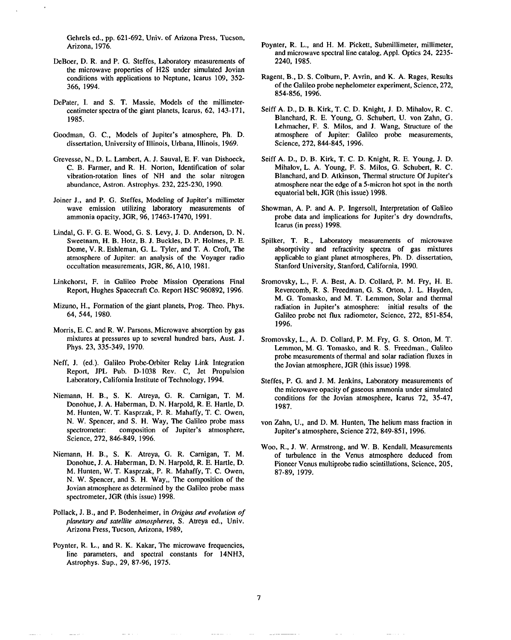Gehrels ed., pp. 621-692, Univ. of Arizona Press, Tucson, Arizona, 1976.

- DeBoer, D.R. and P. G. Steffes, Laboratory measurements of the microwave properties of H2S under simulated Jovian conditions with applications to Neptune, Icarus 109, 352- 366, 1994.
- DePater, I. and S. T. Massie, Models of the millimetercentimeter spectra of the giant planets, Icarus, 62, 143-171, 1985.
- Goodman, G. C., Models of Jupiter's atmosphere, Ph. D. dissertation, University of Illinois, Urbana, Illinois, 1969.
- Grevesse, N., D. L. Lambcrt, A. J. Sauval, E. F. van Dishocck, C. B. Farmer, and R. H. Norton, Identification of solar vibration-rotation lines of NH and the solar nitrogen abundance, Astron. Astrophys. 232,225-230, 1990.
- Joiner J., and P. G. Steffes, Modeling of Jupiter's millimeter wave emission utilizing laboratory measurements of ammonia opacity, JGR, 96, 17463-17470, 1991.
- Lindal, G. F. G. E. Wood, G. S. Levy, J. D. Anderson, D. N. Sweetnam, H. B. Hotz, B. J. Buckles, D. P. Holmes, P. E. Dome, V. R. Eshleman, G. L, Tyler, and T. A. Croft, The atmosphere of Jupiter: an analysis of the Voyager radio occultation measurements, JGR, 86, A10, 1981.
- Linkchorst, F. in Galileo Probe Mission Operations Final Report, Hughes Spacecraft Co. Report HSC 960892, 1996.
- Mizuno, H., Formation of the giant planets, Prog. Theo. Phys. 64, 544, 1980.
- Morris, E. C. and R. W. Parsons, Microwave absorption by gas mixtures at pressures up to several hundred bars, Aust. J, Phys. 23, 335-349, 1970.
- Neff, J. (cd.). Galileo Probe-Orbiter Relay Link Integration Report, JPL Pub. D-1038 Rev. C, Jet Propulsion Laboratory, California Institute of Technology, 1994.
- Niemann, H. B., S, K. Atreya, G. R. Carnigan, T. M. Donohue, J. A. Haberman, D. N. Harpold, R. E. Hartle, D. M. Hunten, W. T. Kasprzak, P. R. Mahaffy, T. C. Owen, N. W. Spencer, and S. H. Way, The Galileo probe mass spectrometer: composition of Jupiter's atmosphere, Science, 272, 846-849, 1996.
- Niemann, H. B., S. K. Atreya, G. R. Camigan, T. M. Donohue, J. A. Habcrman, D. N. Harpold, R. E. Hartle, D. M. Hunten, W. T. Kasprzak, P. R. Mahaffy, T. C. Owen, N. W. Spencer, and S. H. Way,, The composition of the Jovian atmosphere as determined by the Galileo probe mass spectrometer, JGR (this issue) 1998.
- Pollack, J. B., and P. Bodenheimer, in *Origins and evolution of pfaneta~ and satellite atmospheres, S.* Atreya cd., Univ. Arizona Press, Tucson, Arizona, 1989,
- Poynter, R. L., and R. K. Kakar, The microwave frequencies, line parameters, and spectral constants for 14NH3, Astrophys. Sup., 29, 87-96, 1975.
- Poynter, R. L., and H. M. Pickett, Submillimeter, millimeter, and microwave spectral line catalog, Appl. Optics 24, 2235- 2240, 1985.
- Ragent, B., D. S. Colburn, P. Avrin, and K. A. Rages, Results of the Galileo probe nephelometer experiment, Science, 272, 854-856, 1996.
- Seiff A. D., D. B. Kirk, T. C. D. Knight, J. D. Mihalov, R. C. Blanchard, R. E. Young, G. Schubert, U. von Zahn, G. Lehmacher, F. S. Milos, and J. Wang, Structure of the atmosphere of Jupiter: Galileo probe measurements, Science, 272, 844-845, 1996.
- Seiff A. D., D. B. Kirk, T. C. D. Knight, R. E. Young, J. D. Mihalov, L. A. Young, F. S. Milos, G. Schubert, R. C. Blanchard, and D. Atkinson, Thermal structure Of Jupiter's atmosphere near the edge of a 5-micron bot spot in the north equatorial belt, JGR (this issue) 1998.
- Showman, A. P. and A. P. Ingersoll, Interpretation of Galileo probe data and implications for Jupiter's dry downdrafts, Icarus (in press) 1998.
- Spilker, T. R., Laboratory measurements of microwave absorptivity and refractivity spectra of gas mixtures applicable to giant planet atmospheres, Ph. D. dissertation, Stanford University, Stanford, California, 1990.
- Sromovsky, L., F. A. Best, A. D. Collard, P. M. Fry, H. E. Revercomb, R. S. Freedman, G. S. Orton, J. L. Hayden, M. G. Tomasko, and M. T. Lemmon, Solar and thermal radiation in Jupiter's atmosphere: initial results of the Galileo probe net flux radiometer, Science, 272, 851-854, 1996.
- Sromovsky, L., A. D. Collard, P. M. Fry, G. S. Orton, M. T. Lemmon, M. G. Tomasko, and R. S. Freedman., Galileo probe measurements of thermal and solar radiation fluxes in the Jovian atmosphere, JGR (this issue) 1998.
- Steffes, P. G. and J. M. Jenkins, Laboratory measurements of the microwave opacity of gaseous ammonia under simulated conditions for the Jovian atmosphere, Icarus 72, 35-47, 1987.
- von Zahn, U., and D. M. Hunten, The helium mass fraction in Jupiter's atmosphere, Science 272,849-851, 1996.
- Woo, R., J. W. Armstrong, and W. B. Kendall, Measurements of turbulence in the Venus atmosphere deduced from Pioneer Venus multiprobe radio scintillations, Science, 205, 87-89.1979.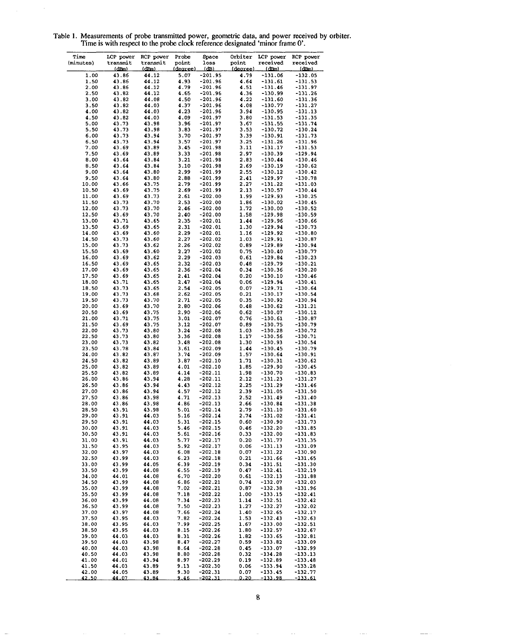| Time           | LCP power      | RCP power      | Probe        | Space                  | Orbiter      | LCP power              | RCP power              |
|----------------|----------------|----------------|--------------|------------------------|--------------|------------------------|------------------------|
| (minutes)      | transmit       | transmit       | point        | loss                   | point        | received               | received               |
|                | (dBm)          | <u>(dBm)</u>   | (decree)     | <u>(dB)</u>            | (degree)     | <u>(dBm)</u>           | (dBm)                  |
| 1.00           | 43.86          | 44.12          | 5.07         | $-201.95$              | 4.79         | $-131.06$              | $-132.05$              |
| 1.50           | 43.86          | 44.12          | 4.93         | $-201.96$              | 4.64         | $-131.61$              | $-131.53$              |
| 2.00           | 43.86          | 44.12          | 4.79         | $-201.96$              | 4.51         | $-131.46$              | -131.97                |
| 2.50           | 43.82          | 44.12          | 4.65         | -201.96                | 4.36         | -130.99                | -131.26                |
| 3.00           | 43.82          | 44.08          | 4.50         | $-201.96$              | 4.22         | $-131.60$              | -131.36                |
| 3.50           | 43.82          | 44.03          | 4.37         | $-201.96$              | 4.08         | $-130.77$              | -131.27                |
| 4.00           | 43.82          | 44.03          | 4.23         | $-201.96$              | 3.94         | $-130.95$              | $-131.13$              |
| 4.50           | 43.82          | 44.03          | 4.09         | $-201.97$              | 3.80         | $-131.53$              | $-131.35$              |
| 5.00           | 43.73          | 43.98          | 3.96         | $-201.97$              | 3.67         | $-131.55$              | $-131.74$              |
| 5.50           | 43.73          | 43.98          | 3.83         | $-201.97$              | 3.53         | -130.72                | -130.24                |
| 6.00           | 43.73          | 43.94          | 3.70         | $-201.97$              | 3.39         | $-130.91$              | -131.73                |
| 6.50           | 43.73          | 43.94          | 3.57         | $-201.97$              | 3.25         | $-131.26$              | $-131.96$              |
| 7.00<br>7.50   | 43.69<br>43.69 | 43.89<br>43.89 | 3.45<br>3.33 | $-201.98$<br>$-201.98$ | 3.11<br>2.97 | -131.17<br>$-130.39$   | $-131.53$              |
| 8.00           | 43.64          | 43.84          | 3.21         | $-201.98$              | 2.83         | $-130.44$              | -129.94<br>$-130.46$   |
| 8.50           | 43.64          | 43.84          | 3.10         | $-201.98$              | 2.69         | -130.19                | $-130.62$              |
| 9.00           | 43.64          | 43.80          | 2.99         | $-201.99$              | 2.55         | $-130.12$              | $-130.42$              |
| 9.50           | 43.64          | 43.80          | 2.88         | $-201.99$              | 2.41         | $-129.97$              | $-130.78$              |
| 10.00          | 43.66          | 43.75          | 2.79         | -201.99                | 2.27         | -131.22                | -131.03                |
| 10.50          | 43.69          | 43.75          | 2.69         | $-201.99$              | 2.13         | -130.57                | $-130.44$              |
| 11.00          | 43.69          | 43.73          | 2.61         | $-202.00$              | 1.99         | -129.93                | $-130.25$              |
| 11.50          | 43.73          | 43.70          | 2.53         | $-202.00$              | 1.86         | $-130.02$              | $-130.45$              |
| 12.00          | 43.73          | 43.70          | 2.46         | $-202.00$              | 1.72         | $-130.00$              | -130.52                |
| 12.50          | 43.69          | 43.70          | 2.40         | $-202.00$              | 1.58         | $-129.98$              | $-130.59$              |
| 13.00          | 43.71          | 43.65          | 2.35         | $-202.01$              | 1.44         | -129.96                | $-130.66$              |
| 13.50          | 43.69          | 43.65          | 2.31         | $-202.01$              | 1.30         | $-129.94$              | $-130.73$              |
| 14.00          | 43.69          | 43.60          | 2.29         | $-202.01$              | 1.16         | -129.92                | $-130.80$              |
| 14.50          | 43.73          | 43.60          | 2.27         | $-202.02$              | 1.03         | $-129.91$              | -130.87                |
| 15.00          | 43.73          | 43.62          | 2.26         | $-202.02$              | 0.89         | -129.89                | -130.94                |
| 15.50          | 43.69          | 43.60          | 2.27         | $-202.02$              | 0.75         | $-130.40$              | $-130.77$              |
| 16.00          | 43.69          | 43.62          | 2.29         | $-202.03$              | 0.61         | $-129.84$              | $-130.23$              |
| 16.50          | 43.69          | 43.65          | 2.32         | $-202.03$              | 0.48         | $-129.79$              | -130.21                |
| 17.00          | 43.69          | 43.65          | 2.36         | $-202.04$              | 0.34         | $-130.36$              | $-130.20$              |
| 17.50          | 43.69          | 43.65          | 2.41         | $-202.04$              | 0.20         | $-130.10$              | -130.46                |
| 18.00          | 43.71          | 43.65          | 2.47         | $-202.04$              | 0.06         | $-129.94$              | -130.41                |
| 18.50          | 43.73          | 43.65          | 2.54         | $-202.05$              | 0.07         | $-129.71$              | -130.64                |
| 19.00          | 43.73          | 43.68          | 2.62         | $-202.05$              | 0.21         | -130.17                | -130.54                |
| 19.50          | 43.73          | 43.70          | 2.71         | $-202.05$              | 0.35         | $-130.92$              | -130.94                |
| 20.00          | 43.69          | 43.70          | 2.80         | $-202.06$              | 0.48         | $-130.62$              | $-131.21$              |
| 20.50          | 43.69          | 43.75          | 2.90         | $-202.06$              | 0.62         | $-130.07$              | $-130.12$              |
| 21.00          | 43.71          | 43.75          | 3.01         | $-202.07$              | 0.76         | $-130.61$              | $-130.87$              |
| 21.50          | 43.69          | 43.75          | 3.12         | $-202.07$              | 0.89         | $-130.75$              | -130.79                |
| 22.00          | 43.73          | 43.80          | 3.24         | $-202.08$              | 1.03         | $-130.28$              | -130.72                |
| 22.50          | 43.73          | 43.80          | 3.36         | $-202.08$              | 1.17         | $-130.56$              | -130.71                |
| 23.00          | 43.73          | 43.82          | 3.48         | $-202.08$              | 1.30         | -130.93                | $-130.54$              |
| 23.50          | 43.78          | 43.84          | 3.61         | $-202.09$              | 1.44         | $-130.45$              | $-130.79$              |
| 24.00          | 43.82          | 43.87          | 3.74         | $-202.09$              | 1.57         | -130.64                | -130.91                |
| 24.50          | 43.82          | 43.89          | 3.87<br>4.01 | $-202.10$              | 1.71<br>1.85 | -130.31                | $-130.62$              |
| 25.00<br>25.50 | 43.82<br>43.82 | 43.89<br>43.89 | 4.14         | $-202.10$<br>$-202.11$ | 1.98         | -129.90<br>$-130.70$   | -130.45<br>$-130.83$   |
| 26.00          | 43.86          | 43.94          | 4.28         | $-202.11$              | 2.12         | $-131.23$              | -131.27                |
| 26.50          | 43.86          | 43.94          | 4.43         | $-202.12$              | 2.25         | $-131.29$              | -131.46                |
| 27.00          | 43.86          | 43.94          | 4.57         | $-202.12$              | 2.39         | -131.05                | $-131.50$              |
| 27.50          | 43.86          | 43.98          | 4.71         | $-202.13$              | 2.52         | $-131.49$              | -131.40                |
| 28.00          | 43.86          | 43.98          | 4.86         | $-202.13$              | 2.66         | $-130.84$              | -131.38                |
| 28.50          | 43.91          | 43.98          | 5.01         | $-202.14$              | 2.79         | $-131.10$              | -131.60                |
| 29.00          | 43.91          | 44.03          | 5.16         | $-202.14$              | 2.74         | $-131.02$              | $-131.41$              |
| 29.50          | 43.91          | 44.03          | 5.31         | $-202.15$              | 0.60         | $-130.90$              | $-131.73$              |
| 30.00          | 43.91          | 44.03          | 5.46         | $-202.15$              | 0.46         | $-132.20$              | $-131.85$              |
| 30.50          | 43.91          | 44.03          | 5.61         | $-202.16$              | 0.33         | $-132.00$              | $-131.83$              |
| 31.00          | 43.91          | 44.03          | 5.77         | $-202.17$              | 0.20         | $-131.77$              | $-131.35$              |
| 31.50          | 43.95          | 44.03          | 5.92         | $-202.17$              | 0.06         | $-131.13$              | $-131.09$              |
| 32.00          | 43.97          | 44.03          | 6.08         | $-202.18$              | 0.07         | $-131.22$              | $-130.90$              |
| 32.50          | 43.99          | 44.03          | 6.23         | $-202.18$              | 0.21         | $-131.66$              | $-131.65$              |
| 33.00          | 43.99          | 44.05          | 6.39         | $-202.19$              | 0.34         | $-131.51$              | $-131.30$              |
| 33.50          | 43.99          | 44.08          | 6.55         | $-202.19$              | 0.47         | $-132.41$              | $-132.19$              |
| 34.00          | 44.01          | 44.08          | 6.70         | $-202.20$              | 0.61         | $-132.13$              | $-131.88$              |
| 34.50          | 43.99          | 44.08          | 6.86         | $-202.21$              | 0.74         | $-132.07$              | $-132.03$              |
| 35.00          | 43.99          | 44.08          | 7.02         | -202.21                | 0.87         | $-132.38$              | $-131.96$              |
| 35.50          | 43.99          | 44.08          | 7.18         | $-202.22$              | 1.00         | $-133.15$              | $-132.41$              |
| 36.00          | 43.99          | 44.08          | 7.34         | -202.23                | 1.14         | $-132.51$              | -132.42                |
| 36.50          | 43.99          | 44.08          | 7.50         | $-202.23$              | 1.27         | $-132.27$              | $-132.02$              |
| 37.00          | 43.97          | 44.08          | 7.66         | $-202.24$              | 1.40         | $-132.65$              | $-132.17$              |
| 37.50          | 43.95          | 44.03          | 7.82         | $-202.24$              | 1.53         | $-132.43$              | $-132.63$              |
| 38.00          | 43.95          | 44.03          | 7.99         | -202.25                | 1.67         | $-133.00$              | -132.51                |
| 38.50          | 43.95          | 44.03          | 8.15         | $-202.26$              | 1.80         | $-132.57$              | $-132.67$              |
| 39.00<br>39.50 | 44.03<br>44.03 | 44.03<br>43.98 | 8.31<br>8.47 | $-202.26$<br>$-202.27$ | 1.82<br>0.59 | $-133.65$<br>$-133.82$ | $-132.81$<br>$-133.09$ |
| 40.00          | 44.03          | 43.98          | 8.64         | -202.28                | 0.45         | $-133.07$              | $-132.99$              |
| 40.50          | 44.03          | 43.98          | 8.80         | $-202.28$              | 0.32         | $-134.28$              | $-133.13$              |
| 41.00          | 44.01          | 43.94          | 8.97         | -202.29                | 0.19         | $-132.89$              | $-133.48$              |
| 41.50          | 44.03          | 43.89          | 9.13         | $-202.30$              | 0.06         | $-133.94$              | $-133.28$              |
| 42.00          | 44.05          | 43.89          | 9.30         | -202.31                | 0.07         | $-133.45$              | -132.77                |
| 42.50          | 44.07          | 43.84          | <u>9.46</u>  | <u>-202.31</u>         | 0.20         | <u>-133.98</u>         | <u>-133.61</u>         |

Table 1. Measurements of probe transmitted **power,** geometric data, **and power received by orbiter. Time is with respect to the probe clock reference designated 'minor frame O'.**

 $\bar{\gamma}$ 

8

 $\sim$   $\sim$ 

 $\gamma$  ,  $\gamma$ 

 $\sim$   $\sim$ 

 $\sim$ 

 $\sim$